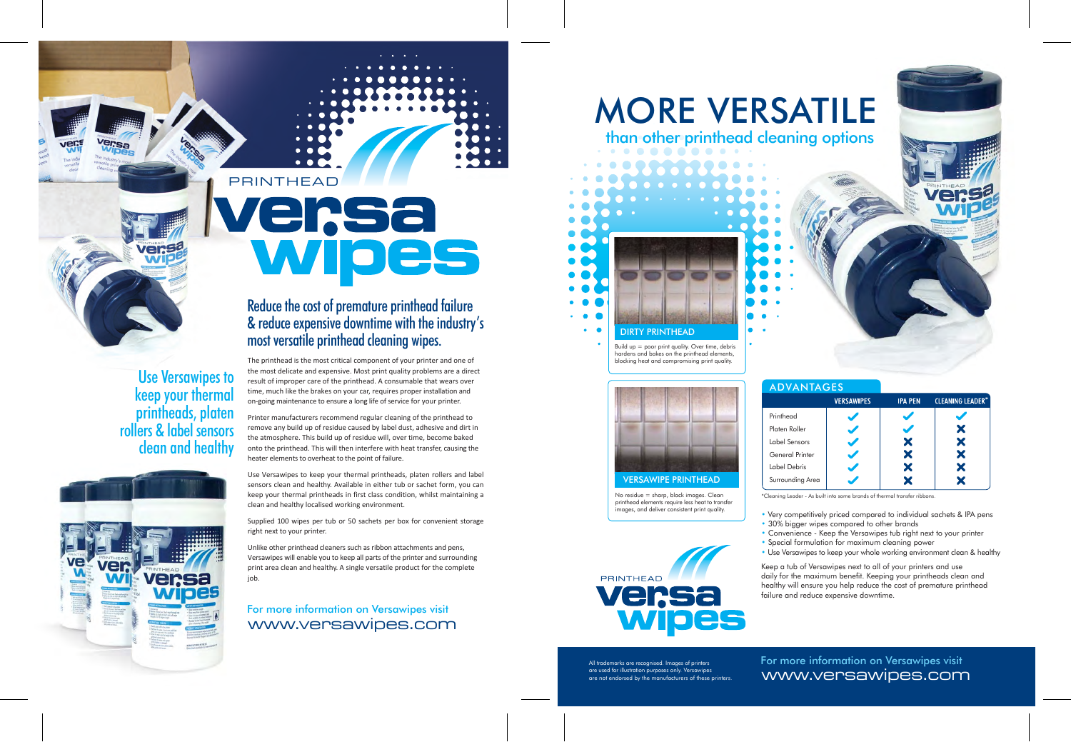## PRINTHEAD ersa WIO

Use Versawipes to keep your thermal printheads, platen rollers & label sensors clean and healthy



Reduce the cost of premature printhead failure & reduce expensive downtime with the industry's most versatile printhead cleaning wipes.

The printhead is the most critical component of your printer and one of the most delicate and expensive. Most print quality problems are a direct result of improper care of the printhead. A consumable that wears over time, much like the brakes on your car, requires proper installation and on-going maintenance to ensure a long life of service for your printer.

Printer manufacturers recommend regular cleaning of the printhead to remove any build up of residue caused by label dust, adhesive and dirt in the atmosphere. This build up of residue will, over time, become baked onto the printhead. This will then interfere with heat transfer, causing the heater elements to overheat to the point of failure.

Use Versawipes to keep your thermal printheads, platen rollers and label sensors clean and healthy. Available in either tub or sachet form, you can keep your thermal printheads in first class condition, whilst maintaining a clean and healthy localised working environment.

Supplied 100 wipes per tub or 50 sachets per box for convenient storage right next to your printer.

Unlike other printhead cleaners such as ribbon attachments and pens, Versawipes will enable you to keep all parts of the printer and surrounding print area clean and healthy. A single versatile product for the complete job.

For more information on Versawipes visit www.versawipes.com